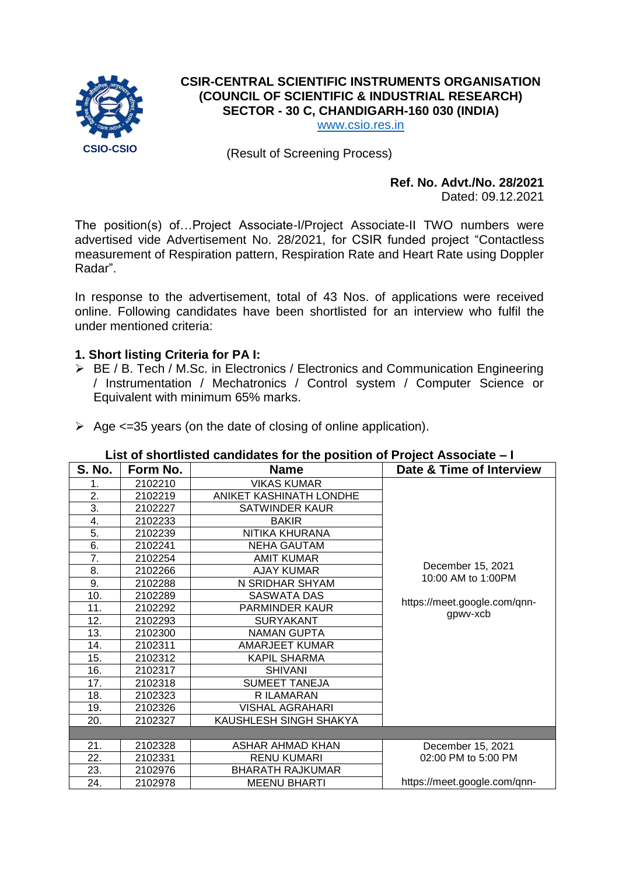

# **CSIR-CENTRAL SCIENTIFIC INSTRUMENTS ORGANISATION (COUNCIL OF SCIENTIFIC & INDUSTRIAL RESEARCH) SECTOR - 30 C, CHANDIGARH-160 030 (INDIA)**

[www.csio.res.in](http://www.csio.res.in/)

(Result of Screening Process)

# **Ref. No. Advt./No. 28/2021**

Dated: 09.12.2021

The position(s) of…Project Associate-I/Project Associate-II TWO numbers were advertised vide Advertisement No. 28/2021, for CSIR funded project "Contactless measurement of Respiration pattern, Respiration Rate and Heart Rate using Doppler Radar".

In response to the advertisement, total of 43 Nos. of applications were received online. Following candidates have been shortlisted for an interview who fulfil the under mentioned criteria:

#### **1. Short listing Criteria for PA I:**

- ▶ BE / B. Tech / M.Sc. in Electronics / Electronics and Communication Engineering / Instrumentation / Mechatronics / Control system / Computer Science or Equivalent with minimum 65% marks.
- $\triangleright$  Age  $\leq$ =35 years (on the date of closing of online application).

#### **List of shortlisted candidates for the position of Project Associate – I**

| <b>S. No.</b> | Form No. | <b>Name</b>             | Date & Time of Interview     |
|---------------|----------|-------------------------|------------------------------|
| 1.            | 2102210  | <b>VIKAS KUMAR</b>      |                              |
| 2.            | 2102219  | ANIKET KASHINATH LONDHE |                              |
| 3.            | 2102227  | SATWINDER KAUR          |                              |
| 4.            | 2102233  | <b>BAKIR</b>            |                              |
| 5.            | 2102239  | NITIKA KHURANA          |                              |
| 6.            | 2102241  | NEHA GAUTAM             |                              |
| 7.            | 2102254  | <b>AMIT KUMAR</b>       |                              |
| 8.            | 2102266  | <b>AJAY KUMAR</b>       | December 15, 2021            |
| 9.            | 2102288  | N SRIDHAR SHYAM         | 10:00 AM to 1:00PM           |
| 10.           | 2102289  | <b>SASWATA DAS</b>      |                              |
| 11.           | 2102292  | <b>PARMINDER KAUR</b>   | https://meet.google.com/qnn- |
| 12.           | 2102293  | <b>SURYAKANT</b>        | gpwv-xcb                     |
| 13.           | 2102300  | <b>NAMAN GUPTA</b>      |                              |
| 14.           | 2102311  | <b>AMARJEET KUMAR</b>   |                              |
| 15.           | 2102312  | <b>KAPIL SHARMA</b>     |                              |
| 16.           | 2102317  | <b>SHIVANI</b>          |                              |
| 17.           | 2102318  | <b>SUMEET TANEJA</b>    |                              |
| 18.           | 2102323  | R ILAMARAN              |                              |
| 19.           | 2102326  | <b>VISHAL AGRAHARI</b>  |                              |
| 20.           | 2102327  | KAUSHLESH SINGH SHAKYA  |                              |
|               |          |                         |                              |
| 21.           | 2102328  | ASHAR AHMAD KHAN        | December 15, 2021            |
| 22.           | 2102331  | <b>RENU KUMARI</b>      | 02:00 PM to 5:00 PM          |
| 23.           | 2102976  | <b>BHARATH RAJKUMAR</b> |                              |
| 24.           | 2102978  | MEENU BHARTI            | https://meet.google.com/qnn- |